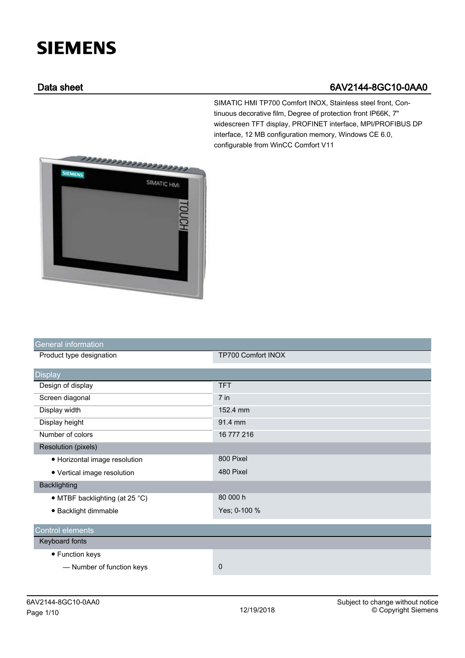## **SIEMENS**

## Data sheet 6AV2144-8GC10-0AA0

SIMATIC HMI TP700 Comfort INOX, Stainless steel front, Continuous decorative film, Degree of protection front IP66K, 7" widescreen TFT display, PROFINET interface, MPI/PROFIBUS DP interface, 12 MB configuration memory, Windows CE 6.0, configurable from WinCC Comfort V11



| <b>General information</b>     |                    |
|--------------------------------|--------------------|
| Product type designation       | TP700 Comfort INOX |
| <b>Display</b>                 |                    |
| Design of display              | <b>TFT</b>         |
| Screen diagonal                | $7$ in             |
| Display width                  | 152.4 mm           |
| Display height                 | 91.4 mm            |
| Number of colors               | 16 777 216         |
| <b>Resolution (pixels)</b>     |                    |
| • Horizontal image resolution  | 800 Pixel          |
| • Vertical image resolution    | 480 Pixel          |
| <b>Backlighting</b>            |                    |
| • MTBF backlighting (at 25 °C) | 80 000 h           |
| · Backlight dimmable           | Yes; 0-100 %       |
| <b>Control elements</b>        |                    |
| Keyboard fonts                 |                    |
| • Function keys                |                    |
| - Number of function keys      | 0                  |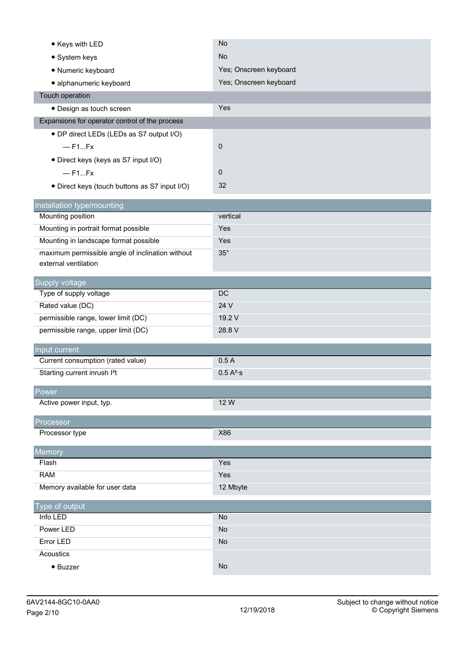| • Keys with LED                                  | <b>No</b>              |
|--------------------------------------------------|------------------------|
| • System keys                                    | <b>No</b>              |
| · Numeric keyboard                               | Yes; Onscreen keyboard |
| · alphanumeric keyboard                          | Yes; Onscreen keyboard |
| Touch operation                                  |                        |
| · Design as touch screen                         | Yes                    |
| Expansions for operator control of the process   |                        |
| • DP direct LEDs (LEDs as S7 output I/O)         |                        |
| $-$ F1Fx                                         | 0                      |
| · Direct keys (keys as S7 input I/O)             |                        |
| $-$ F <sub>1.</sub> $-Fx$                        | $\mathbf 0$            |
| • Direct keys (touch buttons as S7 input I/O)    | 32                     |
|                                                  |                        |
| Installation type/mounting<br>Mounting position  | vertical               |
| Mounting in portrait format possible             | Yes                    |
| Mounting in landscape format possible            | Yes                    |
| maximum permissible angle of inclination without | $35^\circ$             |
| external ventilation                             |                        |
|                                                  |                        |
| Supply voltage                                   |                        |
| Type of supply voltage                           | <b>DC</b><br>24 V      |
| Rated value (DC)                                 | 19.2 V                 |
| permissible range, lower limit (DC)              | 28.8 V                 |
| permissible range, upper limit (DC)              |                        |
| Input current                                    |                        |
| Current consumption (rated value)                | 0.5A                   |
| Starting current inrush I <sup>2</sup> t         | 0.5 A <sup>2</sup> ·s  |
| Power                                            |                        |
| Active power input, typ.                         | 12 W                   |
|                                                  |                        |
| Processor<br>Processor type                      | X86                    |
|                                                  |                        |
| Memory                                           |                        |
| Flash                                            | Yes                    |
| <b>RAM</b>                                       | Yes                    |
| Memory available for user data                   | 12 Mbyte               |
| Type of output                                   |                        |
| Info LED                                         | <b>No</b>              |
| Power LED                                        | No                     |
| Error LED                                        | No                     |
| Acoustics                                        |                        |
| $\bullet$ Buzzer                                 | <b>No</b>              |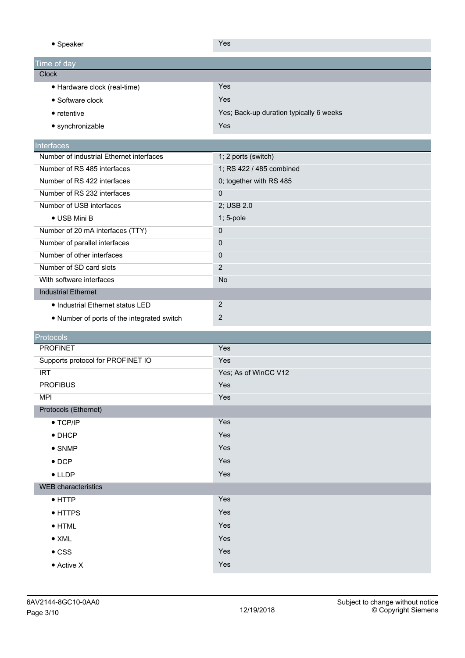● Speaker Yes

| $       -$                   |                                         |
|------------------------------|-----------------------------------------|
| Time of day                  |                                         |
| <b>Clock</b>                 |                                         |
| • Hardware clock (real-time) | <b>Yes</b>                              |
| • Software clock             | Yes                                     |
| $\bullet$ retentive          | Yes; Back-up duration typically 6 weeks |
| • synchronizable             | Yes                                     |
|                              |                                         |

## **Interfaces**

| Number of industrial Ethernet interfaces   | 1; 2 ports (switch)      |
|--------------------------------------------|--------------------------|
| Number of RS 485 interfaces                | 1; RS 422 / 485 combined |
| Number of RS 422 interfaces                | 0; together with RS 485  |
| Number of RS 232 interfaces                | $\mathbf 0$              |
| Number of USB interfaces                   | 2; USB 2.0               |
| $\bullet$ USB Mini B                       | $1; 5$ -pole             |
| Number of 20 mA interfaces (TTY)           | 0                        |
| Number of parallel interfaces              | $\mathbf 0$              |
| Number of other interfaces                 | $\mathbf 0$              |
| Number of SD card slots                    | 2                        |
| With software interfaces                   | <b>No</b>                |
| <b>Industrial Ethernet</b>                 |                          |
| • Industrial Ethernet status LED           | 2                        |
| • Number of ports of the integrated switch | $\overline{2}$           |

| <b>Protocols</b>                  |                      |
|-----------------------------------|----------------------|
| <b>PROFINET</b>                   | Yes                  |
| Supports protocol for PROFINET IO | Yes                  |
| <b>IRT</b>                        | Yes; As of WinCC V12 |
| <b>PROFIBUS</b>                   | Yes                  |
| <b>MPI</b>                        | Yes                  |
| Protocols (Ethernet)              |                      |
| $\bullet$ TCP/IP                  | Yes                  |
| $\bullet$ DHCP                    | Yes                  |
| $\bullet$ SNMP                    | Yes                  |
| $\bullet$ DCP                     | Yes                  |
| $\bullet$ LLDP                    | Yes                  |
| <b>WEB</b> characteristics        |                      |
| $\bullet$ HTTP                    | Yes                  |
| • HTTPS                           | Yes                  |
| $\bullet$ HTML                    | Yes                  |
| $\bullet$ XML                     | Yes                  |
| $\bullet$ CSS                     | Yes                  |
| • Active X                        | Yes                  |
|                                   |                      |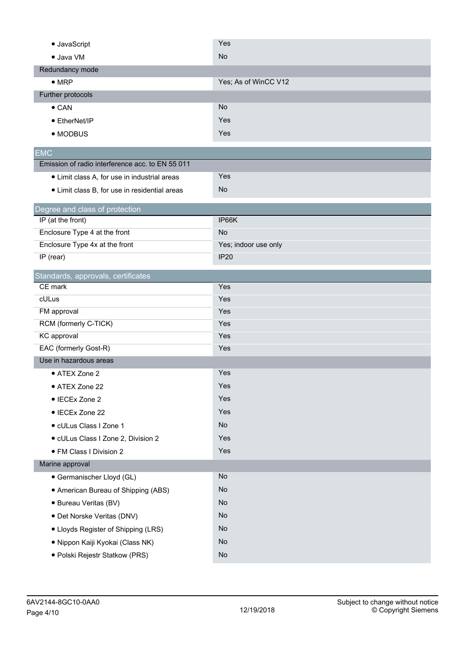| · JavaScript                                        | Yes                  |
|-----------------------------------------------------|----------------------|
| • Java VM                                           | No                   |
| Redundancy mode                                     |                      |
| $\bullet$ MRP                                       | Yes; As of WinCC V12 |
| Further protocols                                   |                      |
| $\bullet$ CAN                                       | <b>No</b>            |
| • EtherNet/IP                                       | Yes                  |
| • MODBUS                                            | Yes                  |
| <b>EMC</b>                                          |                      |
| Emission of radio interference acc. to EN 55 011    |                      |
| • Limit class A, for use in industrial areas        | Yes                  |
| • Limit class B, for use in residential areas       | No                   |
|                                                     |                      |
| Degree and class of protection<br>IP (at the front) | IP66K                |
| Enclosure Type 4 at the front                       | No                   |
| Enclosure Type 4x at the front                      | Yes; indoor use only |
| IP (rear)                                           | <b>IP20</b>          |
| Standards, approvals, certificates                  |                      |
| CE mark                                             | Yes                  |
| cULus                                               | Yes                  |
| FM approval                                         | Yes                  |
| RCM (formerly C-TICK)                               | Yes                  |
| KC approval                                         | Yes                  |
| EAC (formerly Gost-R)                               | Yes                  |
| Use in hazardous areas                              |                      |
| • ATEX Zone 2                                       | Yes                  |
| • ATEX Zone 22                                      | Yes                  |
| • IECEx Zone 2                                      | Yes                  |
| • IECEx Zone 22                                     | Yes                  |
| · cULus Class I Zone 1                              | No                   |
| · cULus Class I Zone 2, Division 2                  | Yes                  |
| • FM Class I Division 2                             | Yes                  |
| Marine approval                                     |                      |
| • Germanischer Lloyd (GL)                           | No                   |
| • American Bureau of Shipping (ABS)                 | No                   |
| · Bureau Veritas (BV)                               | No                   |
| · Det Norske Veritas (DNV)                          | No                   |
| • Lloyds Register of Shipping (LRS)                 | No                   |
| · Nippon Kaiji Kyokai (Class NK)                    | No                   |
| · Polski Rejestr Statkow (PRS)                      | <b>No</b>            |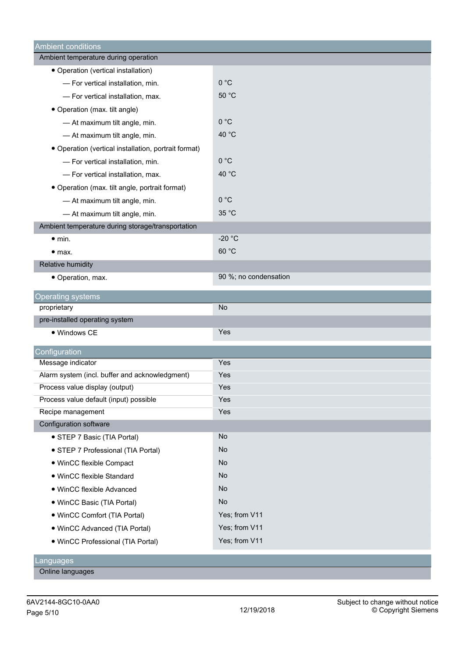| <b>Ambient conditions</b>                            |                       |
|------------------------------------------------------|-----------------------|
| Ambient temperature during operation                 |                       |
| • Operation (vertical installation)                  |                       |
| - For vertical installation, min.                    | 0 °C                  |
| - For vertical installation, max.                    | 50 °C                 |
| • Operation (max. tilt angle)                        |                       |
| - At maximum tilt angle, min.                        | 0 °C                  |
| - At maximum tilt angle, min.                        | 40 °C                 |
| • Operation (vertical installation, portrait format) |                       |
| - For vertical installation, min.                    | 0 °C                  |
| - For vertical installation, max.                    | 40 °C                 |
| • Operation (max. tilt angle, portrait format)       |                       |
| - At maximum tilt angle, min.                        | 0 °C                  |
| - At maximum tilt angle, min.                        | 35 °C                 |
| Ambient temperature during storage/transportation    |                       |
| $\bullet$ min.                                       | $-20 °C$              |
| • <sub>max.</sub>                                    | 60 °C                 |
| Relative humidity                                    |                       |
| · Operation, max.                                    | 90 %; no condensation |
| <b>Operating systems</b>                             |                       |
| proprietary                                          | <b>No</b>             |
| pre-installed operating system                       |                       |
| • Windows CE                                         | Yes                   |
| Configuration                                        |                       |
| Message indicator                                    | Yes                   |
| Alarm system (incl. buffer and acknowledgment)       | Yes                   |
| Process value display (output)                       | Yes                   |
| Process value default (input) possible               | Yes                   |
| Recipe management                                    | Yes                   |
| Configuration software                               |                       |
| • STEP 7 Basic (TIA Portal)                          | No                    |
| • STEP 7 Professional (TIA Portal)                   | No                    |
| • WinCC flexible Compact                             | <b>No</b>             |
| • WinCC flexible Standard                            | <b>No</b>             |
| · WinCC flexible Advanced                            | <b>No</b>             |
|                                                      |                       |
| • WinCC Basic (TIA Portal)                           | No                    |
| • WinCC Comfort (TIA Portal)                         | Yes; from V11         |
| • WinCC Advanced (TIA Portal)                        | Yes; from V11         |
| · WinCC Professional (TIA Portal)                    | Yes; from V11         |

Online languages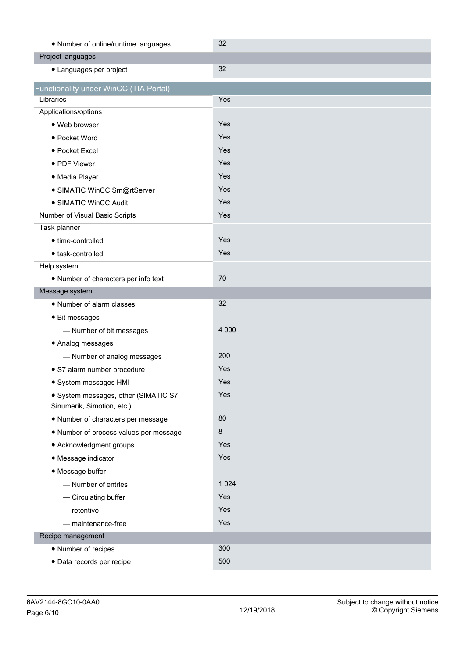| • Number of online/runtime languages                                | 32      |
|---------------------------------------------------------------------|---------|
| Project languages                                                   |         |
| • Languages per project                                             | 32      |
| Functionality under WinCC (TIA Portal)                              |         |
| Libraries                                                           | Yes     |
| Applications/options                                                |         |
| • Web browser                                                       | Yes     |
| • Pocket Word                                                       | Yes     |
| • Pocket Excel                                                      | Yes     |
| • PDF Viewer                                                        | Yes     |
| · Media Player                                                      | Yes     |
| · SIMATIC WinCC Sm@rtServer                                         | Yes     |
| • SIMATIC WinCC Audit                                               | Yes     |
| Number of Visual Basic Scripts                                      | Yes     |
| Task planner                                                        |         |
| • time-controlled                                                   | Yes     |
| • task-controlled                                                   | Yes     |
| Help system                                                         |         |
| • Number of characters per info text                                | 70      |
| Message system                                                      |         |
| • Number of alarm classes                                           | 32      |
| • Bit messages                                                      |         |
| - Number of bit messages                                            | 4 0 0 0 |
| • Analog messages                                                   |         |
| - Number of analog messages                                         | 200     |
| · S7 alarm number procedure                                         | Yes     |
| · System messages HMI                                               | Yes     |
| · System messages, other (SIMATIC S7,<br>Sinumerik, Simotion, etc.) | Yes     |
| • Number of characters per message                                  | 80      |
| . Number of process values per message                              | 8       |
| • Acknowledgment groups                                             | Yes     |
| • Message indicator                                                 | Yes     |
| • Message buffer                                                    |         |
| - Number of entries                                                 | 1 0 2 4 |
| - Circulating buffer                                                | Yes     |
| $-$ retentive                                                       | Yes     |
| - maintenance-free                                                  | Yes     |
| Recipe management                                                   |         |
| • Number of recipes                                                 | 300     |
| · Data records per recipe                                           | 500     |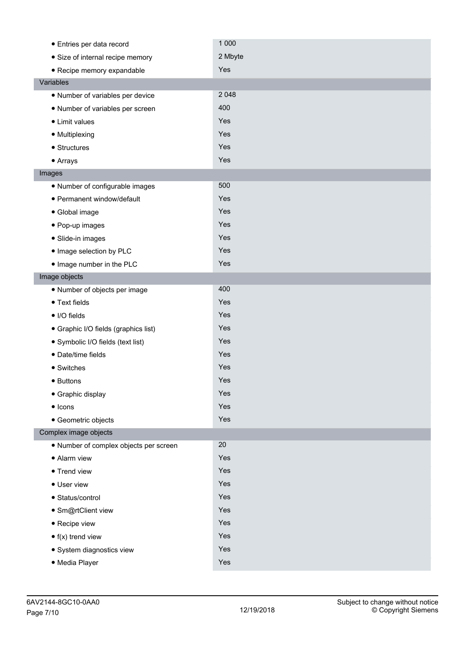| • Entries per data record              | 1 0 0 0 |  |
|----------------------------------------|---------|--|
| • Size of internal recipe memory       | 2 Mbyte |  |
| • Recipe memory expandable             | Yes     |  |
| Variables                              |         |  |
| • Number of variables per device       | 2 0 4 8 |  |
| • Number of variables per screen       | 400     |  |
| • Limit values                         | Yes     |  |
| · Multiplexing                         | Yes     |  |
| $\bullet$ Structures                   | Yes     |  |
| • Arrays                               | Yes     |  |
| Images                                 |         |  |
| • Number of configurable images        | 500     |  |
| · Permanent window/default             | Yes     |  |
| • Global image                         | Yes     |  |
| • Pop-up images                        | Yes     |  |
| · Slide-in images                      | Yes     |  |
| • Image selection by PLC               | Yes     |  |
| . Image number in the PLC              | Yes     |  |
| Image objects                          |         |  |
| • Number of objects per image          | 400     |  |
| • Text fields                          | Yes     |  |
| • I/O fields                           | Yes     |  |
| • Graphic I/O fields (graphics list)   | Yes     |  |
| · Symbolic I/O fields (text list)      | Yes     |  |
| · Date/time fields                     | Yes     |  |
| • Switches                             | Yes     |  |
| • Buttons                              | Yes     |  |
| • Graphic display                      | Yes     |  |
| $\bullet$ Icons                        | Yes     |  |
| · Geometric objects                    | Yes     |  |
| Complex image objects                  |         |  |
| • Number of complex objects per screen | 20      |  |
| • Alarm view                           | Yes     |  |
| • Trend view                           | Yes     |  |
| • User view                            | Yes     |  |
| · Status/control                       | Yes     |  |
| · Sm@rtClient view                     | Yes     |  |
| • Recipe view                          | Yes     |  |
| $\bullet$ f(x) trend view              | Yes     |  |
| · System diagnostics view              | Yes     |  |
| · Media Player                         | Yes     |  |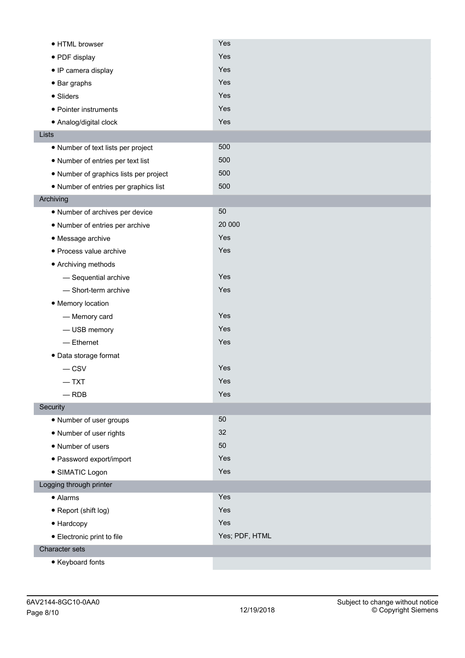| • HTML browser                         | Yes            |
|----------------------------------------|----------------|
| • PDF display                          | Yes            |
| • IP camera display                    | Yes            |
| • Bar graphs                           | Yes            |
| • Sliders                              | Yes            |
| • Pointer instruments                  | Yes            |
| · Analog/digital clock                 | Yes            |
| Lists                                  |                |
| • Number of text lists per project     | 500            |
| • Number of entries per text list      | 500            |
| • Number of graphics lists per project | 500            |
| • Number of entries per graphics list  | 500            |
| Archiving                              |                |
| • Number of archives per device        | 50             |
| • Number of entries per archive        | 20 000         |
| • Message archive                      | Yes            |
| · Process value archive                | Yes            |
| • Archiving methods                    |                |
| - Sequential archive                   | Yes            |
| - Short-term archive                   | Yes            |
| • Memory location                      |                |
| - Memory card                          | Yes            |
| - USB memory                           | Yes            |
| $-$ Ethernet                           | Yes            |
| · Data storage format                  |                |
| $-csv$                                 | Yes            |
| $-$ TXT                                | Yes            |
| $-$ RDB                                | Yes            |
| Security                               |                |
| • Number of user groups                | 50             |
| • Number of user rights                | 32             |
| • Number of users                      | 50             |
| · Password export/import               | Yes            |
| · SIMATIC Logon                        | Yes            |
| Logging through printer                |                |
| • Alarms                               | Yes            |
| • Report (shift log)                   | Yes            |
| • Hardcopy                             | Yes            |
| • Electronic print to file             | Yes; PDF, HTML |
| Character sets                         |                |
| • Keyboard fonts                       |                |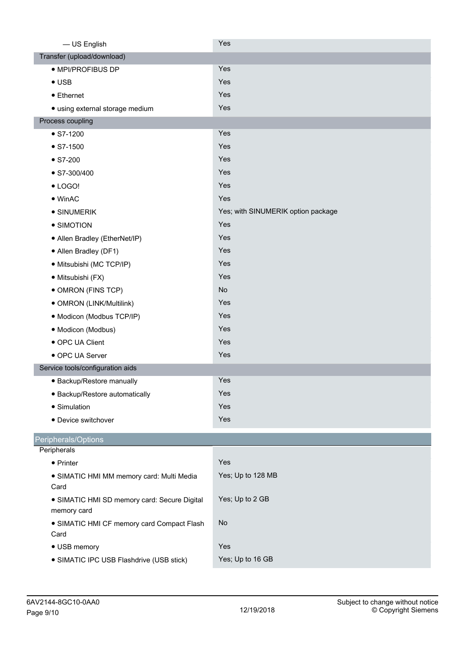| - US English                                 | Yes                                |
|----------------------------------------------|------------------------------------|
| Transfer (upload/download)                   |                                    |
| · MPI/PROFIBUS DP                            | Yes                                |
| $\bullet$ USB                                | Yes                                |
| • Ethernet                                   | Yes                                |
| · using external storage medium              | Yes                                |
| Process coupling                             |                                    |
| $\bullet$ S7-1200                            | Yes                                |
| $\bullet$ S7-1500                            | Yes                                |
| $\bullet$ S7-200                             | Yes                                |
| $\bullet$ S7-300/400                         | Yes                                |
| $\bullet$ LOGO!                              | Yes                                |
| $\bullet$ WinAC                              | Yes                                |
| • SINUMERIK                                  | Yes; with SINUMERIK option package |
| • SIMOTION                                   | Yes                                |
| • Allen Bradley (EtherNet/IP)                | Yes                                |
| • Allen Bradley (DF1)                        | Yes                                |
| · Mitsubishi (MC TCP/IP)                     | Yes                                |
| · Mitsubishi (FX)                            | Yes                                |
| • OMRON (FINS TCP)                           | <b>No</b>                          |
| • OMRON (LINK/Multilink)                     | Yes                                |
| · Modicon (Modbus TCP/IP)                    | Yes                                |
| · Modicon (Modbus)                           | Yes                                |
| • OPC UA Client                              | Yes                                |
| • OPC UA Server                              | Yes                                |
| Service tools/configuration aids             |                                    |
| • Backup/Restore manually                    | Yes                                |
| • Backup/Restore automatically               | Yes                                |
| • Simulation                                 | Yes                                |
| • Device switchover                          | Yes                                |
| Peripherals/Options                          |                                    |
| Peripherals                                  |                                    |
| • Printer                                    | Yes                                |
| · SIMATIC HMI MM memory card: Multi Media    | Yes; Up to 128 MB                  |
| Card                                         |                                    |
| · SIMATIC HMI SD memory card: Secure Digital | Yes; Up to 2 GB                    |
| memory card                                  |                                    |
| • SIMATIC HMI CF memory card Compact Flash   | <b>No</b>                          |
| Card                                         |                                    |
| • USB memory                                 | Yes                                |
| • SIMATIC IPC USB Flashdrive (USB stick)     | Yes; Up to 16 GB                   |